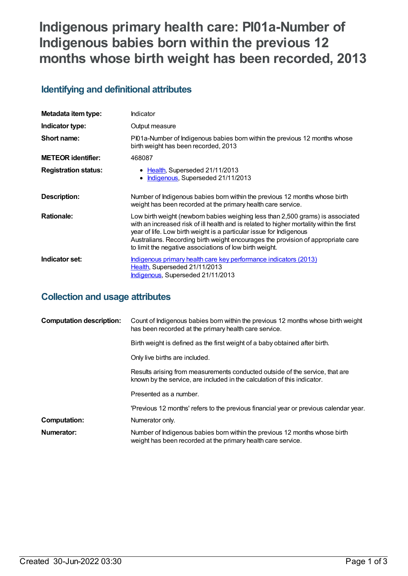# **Indigenous primary health care: PI01a-Number of Indigenous babies born within the previous 12 months whose birth weight has been recorded, 2013**

# **Identifying and definitional attributes**

| Metadata item type:         | Indicator                                                                                                                                                                                                                                                                                                                                                                                        |
|-----------------------------|--------------------------------------------------------------------------------------------------------------------------------------------------------------------------------------------------------------------------------------------------------------------------------------------------------------------------------------------------------------------------------------------------|
| Indicator type:             | Output measure                                                                                                                                                                                                                                                                                                                                                                                   |
| Short name:                 | PI01a-Number of Indigenous babies born within the previous 12 months whose<br>birth weight has been recorded, 2013                                                                                                                                                                                                                                                                               |
| <b>METEOR identifier:</b>   | 468087                                                                                                                                                                                                                                                                                                                                                                                           |
| <b>Registration status:</b> | • Health, Superseded 21/11/2013<br>Indigenous, Superseded 21/11/2013<br>٠                                                                                                                                                                                                                                                                                                                        |
| Description:                | Number of Indigenous babies born within the previous 12 months whose birth<br>weight has been recorded at the primary health care service.                                                                                                                                                                                                                                                       |
| <b>Rationale:</b>           | Low birth weight (newborn babies weighing less than 2,500 grams) is associated<br>with an increased risk of ill health and is related to higher mortality within the first<br>year of life. Low birth weight is a particular issue for Indigenous<br>Australians. Recording birth weight encourages the provision of appropriate care<br>to limit the negative associations of low birth weight. |
| Indicator set:              | <u>Indigenous primary health care key performance indicators (2013)</u><br>Health, Superseded 21/11/2013<br>Indigenous, Superseded 21/11/2013                                                                                                                                                                                                                                                    |

## **Collection and usage attributes**

| <b>Computation description:</b> | Count of Indigenous babies born within the previous 12 months whose birth weight<br>has been recorded at the primary health care service.                |
|---------------------------------|----------------------------------------------------------------------------------------------------------------------------------------------------------|
|                                 | Birth weight is defined as the first weight of a baby obtained after birth.                                                                              |
|                                 | Only live births are included.                                                                                                                           |
|                                 | Results arising from measurements conducted outside of the service, that are<br>known by the service, are included in the calculation of this indicator. |
|                                 | Presented as a number.                                                                                                                                   |
|                                 | 'Previous 12 months' refers to the previous financial year or previous calendar year.                                                                    |
| <b>Computation:</b>             | Numerator only.                                                                                                                                          |
| Numerator:                      | Number of Indigenous babies born within the previous 12 months whose birth<br>weight has been recorded at the primary health care service.               |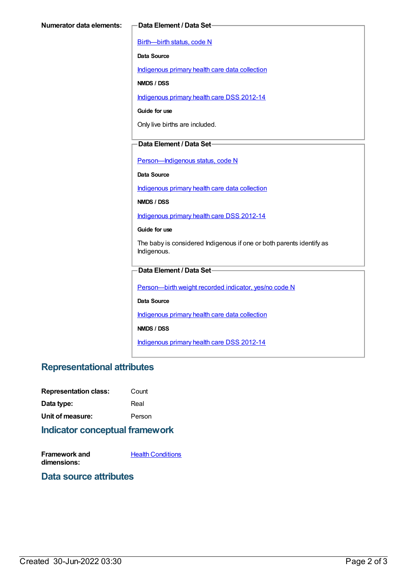[Birth—birth](https://meteor.aihw.gov.au/content/269949) status, code N

**Data Source**

[Indigenous](https://meteor.aihw.gov.au/content/430643) primary health care data collection

**NMDS / DSS**

[Indigenous](https://meteor.aihw.gov.au/content/430629) primary health care DSS 2012-14

**Guide for use**

Only live births are included.

#### **Data Element / Data Set**

Person-Indigenous status, code N

**Data Source**

[Indigenous](https://meteor.aihw.gov.au/content/430643) primary health care data collection

**NMDS / DSS**

[Indigenous](https://meteor.aihw.gov.au/content/430629) primary health care DSS 2012-14

**Guide for use**

The baby is considered Indigenous if one or both parents identify as Indigenous.

#### **Data Element / Data Set**

[Person—birth](https://meteor.aihw.gov.au/content/441701) weight recorded indicator, yes/no code N

**Data Source**

[Indigenous](https://meteor.aihw.gov.au/content/430643) primary health care data collection

**NMDS / DSS**

[Indigenous](https://meteor.aihw.gov.au/content/430629) primary health care DSS 2012-14

### **Representational attributes**

| <b>Representation class:</b> | Count  |
|------------------------------|--------|
| Data type:                   | Real   |
| Unit of measure:             | Person |

### **Indicator conceptual framework**

**Framework and dimensions:**

**Health [Conditions](https://meteor.aihw.gov.au/content/410650)** 

#### **Data source attributes**